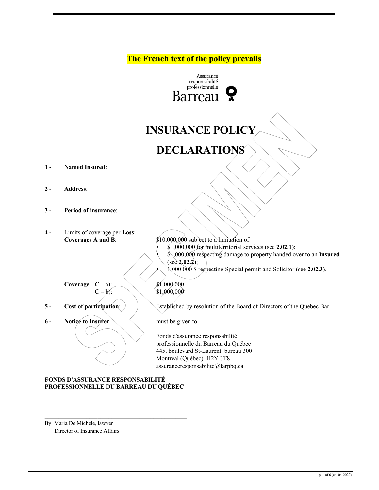**The French text of the policy prevails**



# **INSURANCE POLICY**

## **DECLARATIONS**

- **1 - Named Insured**:
- **2 - Address**:
- **3 - Period of insurance**:
- **4 -** Limits of coverage per **Loss**:

**Coverages A and B:**  $$10,000,000$  subject to a limitation of: § \$1,000,000 for multiterritorial services (see **2.02.1**); § \$1,000,000 respecting damage to property handed over to an **Insured** (see **2.02.2**);

§ 1 000 000 \$ respecting Special permit and Solicitor (see **2.02.3**).

**Coverage C** – a):  $\bigotimes$  \$1,000,000

- 
- **6 Notice to Insurer**: must be given to:

**C** – b):  $\sqrt{1,000,000}$ 

**5** - **Cost of participation:** Figure 3. **Example 1 Cost of participation**: Cost of participation: Extendingly resolution of the Board of Directors of the Quebec Bar

Fonds d'assurance responsabilité professionnelle du Barreau du Québec 445, boulevard St-Laurent, bureau 300 Montréal (Québec) H2Y 3T8 assuranceresponsabilite@farpbq.ca

**FONDS D'ASSURANCE RESPONSABILITÉ PROFESSIONNELLE DU BARREAU DU QUÉBEC**

**\_\_\_\_\_\_\_\_\_\_\_\_\_\_\_\_\_\_\_\_\_\_\_\_\_\_\_\_\_\_\_\_\_\_\_\_\_\_\_\_\_\_\_\_\_\_\_\_\_\_\_**

By: Maria De Michele, lawyer Director of Insurance Affairs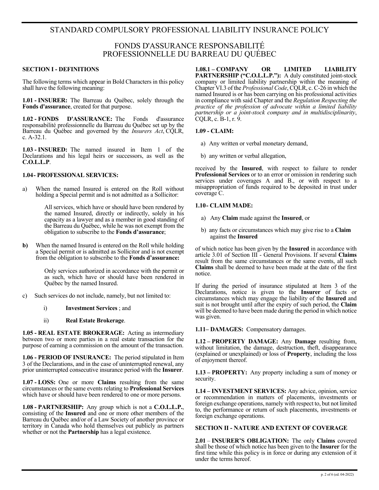## STANDARD COMPULSORY PROFESSIONAL LIABILITY INSURANCE POLICY

### FONDS D'ASSURANCE RESPONSABILITÉ PROFESSIONNELLE DU BARREAU DU QUÉBEC

#### **SECTION I - DEFINITIONS**

The following terms which appear in Bold Characters in this policy shall have the following meaning:

**1.01 - INSURER:** The Barreau du Québec, solely through the **Fonds d'assurance**, created for that purpose.

**1.02 - FONDS D'ASSURANCE:** The Fonds d'assurance responsabilité professionnelle du Barreau du Québec set up by the Barreau du Québec and governed by the *Insurers Act*, CQLR, c. A-32.1.

**1.03 - INSURED:** The named insured in Item 1 of the Declarations and his legal heirs or successors, as well as the **C.O.L.L.P**.

#### **1.04- PROFESSIONAL SERVICES:**

a) When the named Insured is entered on the Roll without holding a Special permit and is not admitted as a Sollicitor:

> All services, which have or should have been rendered by the named Insured, directly or indirectly, solely in his capacity as a lawyer and as a member in good standing of the Barreau du Québec, while he was not exempt from the obligation to subscribe to the **Fonds d'assurance**;

**b)** When the named Insured is entered on the Roll while holding a Special permit or is admitted as Sollicitor and is not exempt from the obligation to subscribe to the **Fonds d'assurance:** 

> Only services authorized in accordance with the permit or as such, which have or should have been rendered in Québec by the named Insured.

- c) Such services do not include, namely, but not limited to:
	- i) **Investment Services** ; and
	- ii) **Real Estate Brokerage**.

 **1.05 - REAL ESTATE BROKERAGE:** Acting as intermediary between two or more parties in a real estate transaction for the purpose of earning a commission on the amount of the transaction.

**1.06 - PERIOD OF INSURANCE:** The period stipulated in Item 3 of the Declarations, and in the case of uninterrupted renewal, any prior uninterrupted consecutive insurance period with the **Insurer**.

**1.07 - LOSS:** One or more **Claims** resulting from the same circumstances or the same events relating to **Professional Services** which have or should have been rendered to one or more persons.

**1.08 - PARTNERSHIP:** Any group which is not a **C.O.L.L.P.**, consisting of the **Insured** and one or more other members of the Barreau du Québec and/or of a Law Society of another province or territory in Canada who hold themselves out publicly as partners whether or not the **Partnership** has a legal existence.

**1.08.1 – COMPANY OR LIMITED LIABILITY PARTNERSHIP ("C.O.L.L.P."):** A duly constituted joint-stock company or limited liability partnership within the meaning of Chapter VI.3 of the *Professional Code*, CQLR, c. C-26 in which the named Insured is or has been carrying on his professional activities in compliance with said Chapter and the *Regulation Respecting the practice of the profession of advocate within a limited liability partnership or a joint-stock company and in multidisciplinarity*, CQLR, c. B-1, r. 9.

#### **1.09 - CLAIM:**

- a) Any written or verbal monetary demand,
- b) any written or verbal allegation,

received by the **Insured**, with respect to failure to render **Professional Services** or to an error or omission in rendering such services under coverages A and B., or with respect to a misappropriation of funds required to be deposited in trust under coverage C.

#### **1.10- CLAIM MADE:**

- a) Any **Claim** made against the **Insured**, or
- b) any facts or circumstances which may give rise to a **Claim** against the **Insured**

of which notice has been given by the **Insured** in accordance with article 3.01 of Section III - General Provisions. If several **Claims** result from the same circumstances or the same events, all such **Claims** shall be deemed to have been made at the date of the first notice.

If during the period of insurance stipulated at Item 3 of the Declarations, notice is given to the **Insurer** of facts or circumstances which may engage the liability of the **Insured** and suit is not brought until after the expiry of such period, the **Claim** will be deemed to have been made during the period in which notice was given.

**1.11– DAMAGES:** Compensatory damages.

**1.12 – PROPERTY DAMAGE:** Any **Damage** resulting from, without limitation, the damage, destruction, theft, disappearance (explained or unexplained) or loss of **Property**, including the loss of enjoyment thereof.

**1.13 – PROPERTY:** Any property including a sum of money or security.

**1.14 – INVESTMENT SERVICES:** Any advice, opinion, service or recommendation in matters of placements, investments or foreign exchange operations, namely with respect to, but not limited to, the performance or return of such placements, investments or foreign exchange operations.

#### **SECTION II - NATURE AND EXTENT OF COVERAGE**

**2.01** – **INSURER'S OBLIGATION:** The only **Claims** covered shall be those of which notice has been given to the **Insurer** for the first time while this policy is in force or during any extension of it under the terms hereof.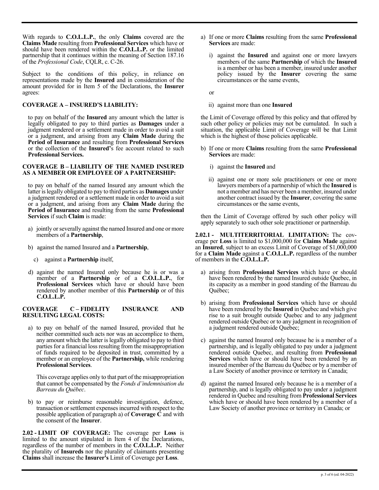With regards to **C.O.L.L.P.**, the only **Claims** covered are the **Claims Made** resulting from **Professional Services** which have or should have been rendered within the **C.O.L.L.P.** or the limited partnership that it continues within the meaning of Section 187.16 of the *Professional Code*, CQLR, c. C-26.

Subject to the conditions of this policy, in reliance on representations made by the **Insured** and in consideration of the amount provided for in Item 5 of the Declarations, the **Insurer** agrees:

#### **COVERAGE A – INSURED'S LIABILITY:**

to pay on behalf of the **Insured** any amount which the latter is legally obligated to pay to third parties as **Damages** under a judgment rendered or a settlement made in order to avoid a suit or a judgment, and arising from any **Claim Made** during the **Period of Insurance** and resulting from **Professional Services**  or the collection of the **Insured'**s fee account related to such **Professional Services.**

#### **COVERAGE B – LIABILITY OF THE NAMED INSURED AS A MEMBER OR EMPLOYEE OF A PARTNERSHIP:**

to pay on behalf of the named Insured any amount which the latter is legally obligated to pay to third parties as **Damages** under a judgment rendered or a settlement made in order to avoid a suit or a judgment, and arising from any **Claim Made** during the **Period of Insurance** and resulting from the same **Professional Services** if such **Claim** is made:

- a) jointly or severally against the named Insured and one or more members of a **Partnership**,
- b) against the named Insured and a **Partnership**,
	- c) against a **Partnership** itself,
- d) against the named Insured only because he is or was a member of a **Partnership** or of a **C.O.L.L.P.**, for **Professional Services** which have or should have been rendered by another member of this **Partnership** or of this **C.O.L.L.P.**

#### **COVERAGE C – FIDELITY INSURANCE AND RESULTING LEGAL COSTS:**

a) to pay on behalf of the named Insured, provided that he neither committed such acts nor was an accomplice to them, any amount which the latter is legally obligated to pay to third parties for a financial loss resulting from the misappropriation of funds required to be deposited in trust, committed by a member or an employee of the **Partnership,** while rendering **Professional Services**.

This coverage applies only to that part of the misappropriation that cannot be compensated by the *Fonds d'indemnisation du Barreau du Québec*.

b) to pay or reimburse reasonable investigation, defence, transaction or settlement expenses incurred with respect to the possible application of paragraph a) of **Coverage C** and with the consent of the **Insurer**.

**2.02 - LIMIT OF COVERAGE:** The coverage per **Loss** is limited to the amount stipulated in Item 4 of the Declarations, regardless of the number of members in the **C.O.L.L.P.** Neither the plurality of **Insureds** nor the plurality of claimants presenting **Claims** shall increase the **Insurer's** Limit of Coverage per **Loss**.

- a) If one or more **Claims** resulting from the same **Professional Services** are made:
	- i) against the **Insured** and against one or more lawyers members of the same **Partnership** of which the **Insured** is a member or has been a member, insured under another policy issued by the **Insurer** covering the same circumstances or the same events,

or

ii) against more than one **Insured**

the Limit of Coverage offered by this policy and that offered by such other policy or policies may not be cumulated. In such a situation, the applicable Limit of Coverage will be that Limit which is the highest of those policies applicable.

- b) If one or more **Claims** resulting from the same **Professional Services** are made:
	- i) against the **Insured** and
	- ii) against one or more sole practitioners or one or more lawyers members of a partnership of which the **Insured** is not a member and has never been a member, insured under another contract issued by the **Insurer**, covering the same circumstances or the same events,

then the Limit of Coverage offered by such other policy will apply separately to such other sole practitioner or partnership.

**2.02.1 - MULTITERRITORIAL LIMITATION:** The cov- erage per **Loss** is limited to \$1,000,000 for **Claims Made** against an **Insured**, subject to an excess Limit of Coverage of \$1,000,000 for a **Claim Made** against a **C.O.L.L.P.** regardless of the number of members in the **C.O.L.L.P.**

- a) arising from **Professional Services** which have or should have been rendered by the named Insured outside Quebec, in its capacity as a member in good standing of the Barreau du Québec;
- b) arising from **Professional Services** which have or should have been rendered by the **Insured** in Quebec and which give rise to a suit brought outside Quebec and to any judgment rendered outside Quebec or to any judgment in recognition of a judgment rendered outside Quebec;
- c) against the named Insured only because he is a member of a partnership, and is legally obligated to pay under a judgment rendered outside Quebec, and resulting from **Professional Services** which have or should have been rendered by an insured member of the Barreau du Québec or by a member of a Law Society of another province or territory in Canada;
- d) against the named Insured only because he is a member of a partnership, and is legally obligated to pay under a judgment rendered in Quebec and resulting from **Professional Services** which have or should have been rendered by a member of a Law Society of another province or territory in Canada; or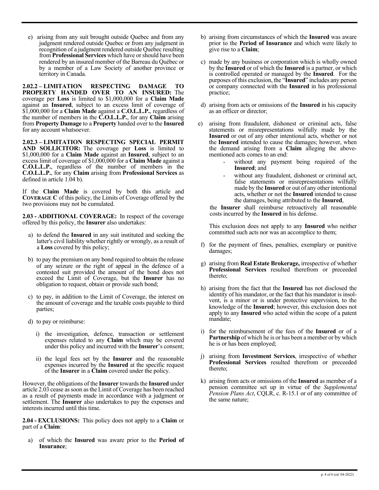e) arising from any suit brought outside Quebec and from any judgment rendered outside Quebec or from any judgment in recognition of a judgment rendered outside Quebec resulting from **Professional Services** which have or should have been rendered by an insured member of the Barreau du Québec or by a member of a Law Society of another province or territory in Canada.

**2.02.2 – LIMITATION RESPECTING DAMAGE TO PROPERTY HANDED OVER TO AN INSURED:** The coverage per **Loss** is limited to \$1,000,000 for a **Claim Made** against an **Insured**, subject to an excess limit of coverage of \$1,000,000 for a **Claim Made** against a **C.O.L.L.P.**, regardless of the number of members in the **C.O.L.L.P.**, for any **Claim** arising from **Property Damage** to a **Property** handed over to the **Insured** for any account whatsoever.

**2.02.3 – LIMITATION RESPECTING SPECIAL PERMIT AND SOLLICITOR:** The coverage per **Loss** is limited to \$1,000,000 for a **Claim Made** against an **Insured**, subject to an excess limit of coverage of \$1,000,000 for a **Claim Made** against a **C.O.L.L.P.**, regardless of the number of members in the **C.O.L.L.P.**, for any **Claim** arising from **Professional Services** as defined in article 1.04 b).

If the **Claim Made** is covered by both this article and **COVERAGE C** of this policy, the Limits of Coverage offered by the two provisions may not be cumulated.

**2.03 - ADDITIONAL COVERAGE:** In respect of the coverage offered by this policy, the **Insurer** also undertakes:

- a) to defend the **Insured** in any suit instituted and seeking the latter's civil liability whether rightly or wrongly, as a result of a **Loss** covered by this policy;
- b) to pay the premium on any bond required to obtain the release of any seizure or the right of appeal in the defence of a contested suit provided the amount of the bond does not exceed the Limit of Coverage, but the **Insurer** has no obligation to request, obtain or provide such bond;
- c) to pay, in addition to the Limit of Coverage, the interest on the amount of coverage and the taxable costs payable to third parties;
- d) to pay or reimburse:
	- i) the investigation, defence, transaction or settlement expenses related to any **Claim** which may be covered under this policy and incurred with the **Insurer**'s consent;
	- ii) the legal fees set by the **Insurer** and the reasonable expenses incurred by the **Insured** at the specific request of the **Insurer** in a **Claim** covered under the policy.

However, the obligations of the **Insurer** towards the **Insured** under article 2.03 cease as soon as the Limit of Coverage has been reached as a result of payments made in accordance with a judgment or settlement. The **Insurer** also undertakes to pay the expenses and interests incurred until this time.

**2.04 - EXCLUSIONS:** This policy does not apply to a **Claim** or part of a **Claim**:

a) of which the **Insured** was aware prior to the **Period of Insurance**;

- b) arising from circumstances of which the **Insured** was aware prior to the **Period of Insurance** and which were likely to give rise to a **Claim**;
- c) made by any business or corporation which is wholly owned by the **Insured** or of which the **Insured** is a partner, or which is controlled operated or managed by the **Insured**. For the purposes of this exclusion, the "**Insured**" includes any person or company connected with the **Insured** in his professional practice;
- d) arising from acts or omissions of the **Insured** in his capacity as an officer or director;
- e) arising from fraudulent, dishonest or criminal acts, false statements or misrepresentations wilfully made by the **Insured** or out of any other intentional acts, whether or not the **Insured** intended to cause the damages; however, when the demand arising from a **Claim** alleging the abovementioned acts comes to an end:
	- without any payment being required of the **Insured**; and
	- without any fraudulent, dishonest or criminal act, false statements or misrepresentations wilfully made by the **Insured** or out of any other intentional acts, whether or not the **Insured** intended to cause the damages, being attributed to the **Insured**,

the **Insurer** shall reimburse retroactively all reasonable costs incurred by the **Insured** in his defense.

This exclusion does not apply to any **Insured** who neither committed such acts nor was an accomplice to them;

- f) for the payment of fines, penalties, exemplary or punitive damages;
- g) arising from **Real Estate Brokerage,** irrespective of whether **Professional Services** resulted therefrom or preceeded thereto;
- h) arising from the fact that the **Insured** has not disclosed the identity of his mandator, or the fact that his mandator is insol- vent, is a minor or is under protective supervision, to the knowledge of the **Insured**; however, this exclusion does not apply to any **Insured** who acted within the scope of a patent mandate;
- i) for the reimbursement of the fees of the **Insured** or of a **Partnership** of which he is or has been a member or by which he is or has been employed;
- j) arising from **Investment Services**, irrespective of whether **Professional Services** resulted therefrom or preceeded thereto;
- k) arising from acts or omissions of the **Insured** as member of a pension committee set up in virtue of the *Supplemental Pension Plans Act*, CQLR, c. R-15.1 or of any committee of the same nature;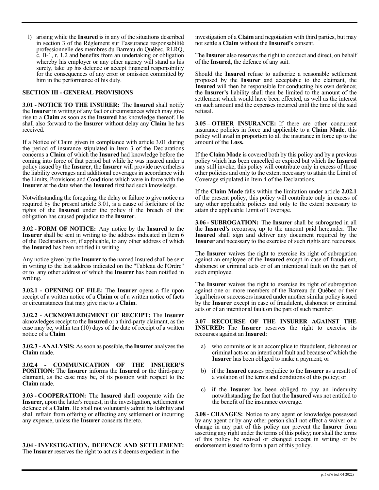l) arising while the **Insured** is in any of the situations described in section 3 of the Règlement sur l'assurance responsabilité professionnelle des membres du Barreau du Québec, RLRQ, c. B-1, r. 1.2 and benefits from an undertaking or obligation whereby his employer or any other agency will stand as his surety, take up his defence or accept financial responsibility for the consequences of any error or omission committed by him in the performance of his duty.

#### **SECTION III - GENERAL PROVISIONS**

**3.01 - NOTICE TO THE INSURER:** The **Insured** shall notify the **Insurer** in writing of any fact or circumstances which may give rise to a **Claim** as soon as the **Insured** has knowledge thereof. He shall also forward to the **Insurer** without delay any **Claim** he has received.

If a Notice of Claim given in compliance with article 3.01 during the period of insurance stipulated in Item 3 of the Declarations concerns a **Claim** of which the **Insured** had knowledge before the coming into force of that period but while he was insured under a policy issued by the **Insurer**, the **Insurer** will provide nevertheless the liability coverages and additional coverages in accordance with the Limits, Provisions and Conditions which were in force with the **Insurer** at the date when the **Insured** first had such knowledge.

Notwithstanding the foregoing, the delay or failure to give notice as required by the present article 3.01, is a cause of forfeiture of the rights of the **Insured** under the policy if the breach of that obligation has caused prejudice to the **Insurer**.

**3.02 - FORM OF NOTICE:** Any notice by the **Insured** to the **Insurer** shall be sent in writing to the address indicated in Item 6 of the Declarations or, if applicable, to any other address of which the **Insured** has been notified in writing.

Any notice given by the **Insurer** to the named Insured shall be sent in writing to the last address indicated on the "Tableau de l'Ordre" or to any other address of which the **Insurer** has been notified in writing.

**3.02.1 - OPENING OF FILE:** The **Insurer** opens a file upon receipt of a written notice of a **Claim** or of a written notice of facts or circumstances that may give rise to a **Claim**.

**3.02.2 - ACKNOWLEDGMENT OF RECEIPT:** The **Insurer** aknowledges receipt to the **Insured** or a third-party claimant, as the case may be, within ten (10) days of the date of receipt of a written notice of a **Claim**.

**3.02.3 - ANALYSIS:** As soon as possible, the **Insurer** analyzes the **Claim** made.

**3.02.4 - COMMUNICATION OF THE INSURER'S POSITION:** The **Insurer** informs the **Insured** or the third-party claimant, as the case may be, of its position with respect to the **Claim** made.

**3.03 - COOPERATION:** The **Insured** shall cooperate with the **Insurer,** upon the latter's request, in the investigation, settlement or defence of a **Claim**. He shall not voluntarily admit his liability and shall refrain from offering or effecting any settlement or incurring any expense, unless the **Insurer** consents thereto.

**3.04 - INVESTIGATION, DEFENCE AND SETTLEMENT:** The **Insurer** reserves the right to act as it deems expedient in the

investigation of a **Claim** and negotiation with third parties, but may not settle a **Claim** without the **Insured'**s consent.

The **Insurer** also reserves the right to conduct and direct, on behalf of the **Insured**, the defence of any suit.

Should the **Insured** refuse to authorize a reasonable settlement proposed by the **Insurer** and acceptable to the claimant, the **Insured** will then be responsible for conducting his own defence; the **Insurer's** liability shall then be limited to the amount of the settlement which would have been effected, as well as the interest on such amount and the expenses incurred until the time of the said refusal.

**3.05 – OTHER INSURANCE:** If there are other concurrent insurance policies in force and applicable to a **Claim Made**, this policy will avail in proportion to all the insurance in force up to the amount of the **Loss.**

If the **Claim Made** is covered both by this policy and by a previous policy which has been cancelled or expired but which the **Insured** may still invoke, this policy will contribute only in excess of those other policies and only to the extent necessary to attain the Limit of Coverage stipulated in Item 4 of the Declarations.

If the **Claim Made** falls within the limitation under article **2.02.1** of the present policy, this policy will contribute only in excess of any other applicable policies and only to the extent necessary to attain the applicable Limit of Coverage.

**3.06 - SUBROGATION:** The **Insurer** shall be subrogated in all the **Insured's** recourses, up to the amount paid hereunder. The **Insured** shall sign and deliver any document required by the **Insurer** and necessary to the exercise of such rights and recourses.

The **Insurer** waives the right to exercise its right of subrogation against an employee of the **Insured** except in case of fraudulent, dishonest or criminal acts or of an intentional fault on the part of such employee.

The **Insurer** waives the right to exercise its right of subrogation against one or more members of the Barreau du Québec or their legal heirs or successors insured under another similar policy issued by the **Insurer** except in case of fraudulent, dishonest or criminal acts or of an intentional fault on the part of such member.

**3.07 – RECOURSE OF THE INSURER AGAINST THE INSURED:** The **Insurer** reserves the right to exercise its recourses against an **Insured**:

- a) who commits or is an accomplice to fraudulent, dishonest or criminal acts or an intentional fault and because of which the **Insurer** has been obliged to make a payment; or
- b) if the **Insured** causes prejudice to the **Insurer** as a result of a violation of the terms and conditions of this policy; or
- c) if the **Insurer** has been obliged to pay an indemnity notwithstanding the fact that the **Insured** was not entitled to the benefit of the insurance coverage.

**3.08 - CHANGES:** Notice to any agent or knowledge possessed by any agent or by any other person shall not effect a waiver or a change in any part of this policy nor prevent the **Insurer** from asserting any right under the terms of this policy; nor shall the terms of this policy be waived or changed except in writing or by endorsement issued to form a part of this policy.